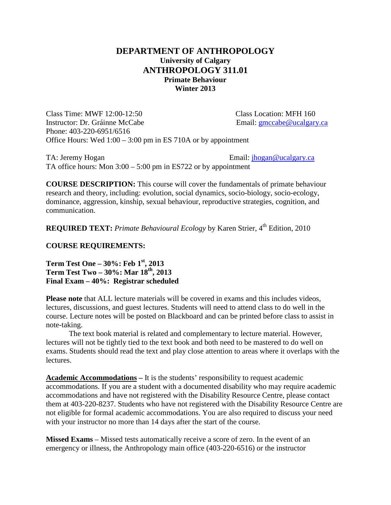## **DEPARTMENT OF ANTHROPOLOGY University of Calgary ANTHROPOLOGY 311.01 Primate Behaviour Winter 2013**

Class Time: MWF 12:00-12:50 Class Location: MFH 160 Instructor: Dr. Gráinne McCabe Email: [gmccabe@ucalgary.ca](mailto:gmccabe@ucalgary.ca) Phone: 403-220-6951/6516 Office Hours: Wed 1:00 – 3:00 pm in ES 710A or by appointment

TA: Jeremy Hogan Email: jhogan @ucalgary.ca TA office hours: Mon 3:00 – 5:00 pm in ES722 or by appointment

**COURSE DESCRIPTION:** This course will cover the fundamentals of primate behaviour research and theory, including: evolution, social dynamics, socio-biology, socio-ecology, dominance, aggression, kinship, sexual behaviour, reproductive strategies, cognition, and communication.

**REQUIRED TEXT:** *Primate Behavioural Ecology* by Karen Strier, 4<sup>th</sup> Edition, 2010

**COURSE REQUIREMENTS:**

**Term Test One – 30%: Feb 1st, 2013 Term Test Two – 30%: Mar 18th, 2013 Final Exam – 40%: Registrar scheduled**

**Please note** that ALL lecture materials will be covered in exams and this includes videos, lectures, discussions, and guest lectures. Students will need to attend class to do well in the course. Lecture notes will be posted on Blackboard and can be printed before class to assist in note-taking.

The text book material is related and complementary to lecture material. However, lectures will not be tightly tied to the text book and both need to be mastered to do well on exams. Students should read the text and play close attention to areas where it overlaps with the lectures.

**Academic Accommodations –** It is the students' responsibility to request academic accommodations. If you are a student with a documented disability who may require academic accommodations and have not registered with the Disability Resource Centre, please contact them at 403-220-8237. Students who have not registered with the Disability Resource Centre are not eligible for formal academic accommodations. You are also required to discuss your need with your instructor no more than 14 days after the start of the course.

**Missed Exams** – Missed tests automatically receive a score of zero. In the event of an emergency or illness, the Anthropology main office (403-220-6516) or the instructor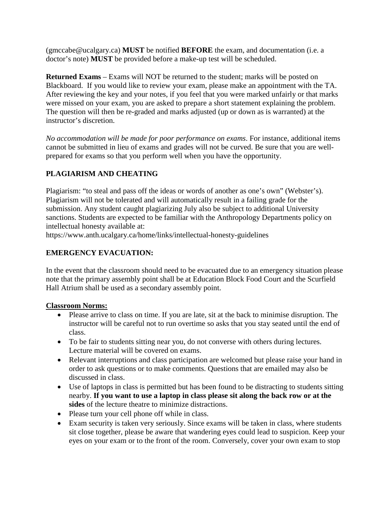(gmccabe@ucalgary.ca) **MUST** be notified **BEFORE** the exam, and documentation (i.e. a doctor's note) **MUST** be provided before a make-up test will be scheduled.

**Returned Exams** – Exams will NOT be returned to the student; marks will be posted on Blackboard. If you would like to review your exam, please make an appointment with the TA. After reviewing the key and your notes, if you feel that you were marked unfairly or that marks were missed on your exam, you are asked to prepare a short statement explaining the problem. The question will then be re-graded and marks adjusted (up or down as is warranted) at the instructor's discretion.

*No accommodation will be made for poor performance on exams*. For instance, additional items cannot be submitted in lieu of exams and grades will not be curved. Be sure that you are wellprepared for exams so that you perform well when you have the opportunity.

# **PLAGIARISM AND CHEATING**

Plagiarism: "to steal and pass off the ideas or words of another as one's own" (Webster's). Plagiarism will not be tolerated and will automatically result in a failing grade for the submission. Any student caught plagiarizing July also be subject to additional University sanctions. Students are expected to be familiar with the Anthropology Departments policy on intellectual honesty available at:

https://www.anth.ucalgary.ca/home/links/intellectual-honesty-guidelines

# **EMERGENCY EVACUATION:**

In the event that the classroom should need to be evacuated due to an emergency situation please note that the primary assembly point shall be at Education Block Food Court and the Scurfield Hall Atrium shall be used as a secondary assembly point.

#### **Classroom Norms:**

- Please arrive to class on time. If you are late, sit at the back to minimise disruption. The instructor will be careful not to run overtime so asks that you stay seated until the end of class.
- To be fair to students sitting near you, do not converse with others during lectures. Lecture material will be covered on exams.
- Relevant interruptions and class participation are welcomed but please raise your hand in order to ask questions or to make comments. Questions that are emailed may also be discussed in class.
- Use of laptops in class is permitted but has been found to be distracting to students sitting nearby. **If you want to use a laptop in class please sit along the back row or at the sides** of the lecture theatre to minimize distractions.
- Please turn your cell phone off while in class.
- Exam security is taken very seriously. Since exams will be taken in class, where students sit close together, please be aware that wandering eyes could lead to suspicion. Keep your eyes on your exam or to the front of the room. Conversely, cover your own exam to stop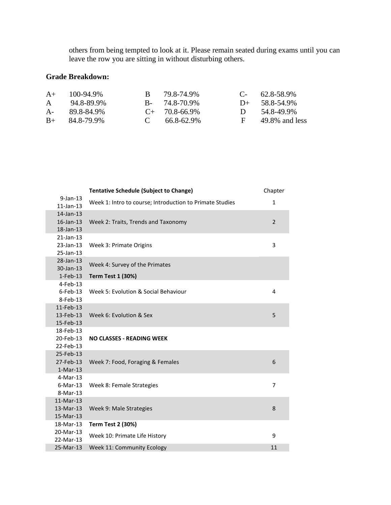others from being tempted to look at it. Please remain seated during exams until you can leave the row you are sitting in without disturbing others.

## **Grade Breakdown:**

| $A+$ | 100-94.9%        | B 79.8-74.9%        |          | $C - 62.8 - 58.9\%$ |
|------|------------------|---------------------|----------|---------------------|
| A    | 94.8-89.9%       | $B - 74.8 - 70.9\%$ |          | $D_{+}$ 58.8-54.9%  |
| $A-$ | 89.8-84.9%       | $C_{+}$ 70.8-66.9%  |          | 54.8-49.9%          |
|      | $B+ 84.8-79.9\%$ | $C = 66.8 - 62.9\%$ | <b>E</b> | 49.8% and less      |

|                                           | <b>Tentative Schedule (Subject to Change)</b>            | Chapter        |
|-------------------------------------------|----------------------------------------------------------|----------------|
| $9$ -Jan-13<br>$11$ -Jan-13               | Week 1: Intro to course; Introduction to Primate Studies | $\mathbf{1}$   |
| 14-Jan-13<br>$16$ -Jan- $13$<br>18-Jan-13 | Week 2: Traits, Trends and Taxonomy                      | $\overline{2}$ |
| $21$ -Jan-13<br>23-Jan-13<br>25-Jan-13    | Week 3: Primate Origins                                  | 3              |
| 28-Jan-13<br>30-Jan-13                    | Week 4: Survey of the Primates                           |                |
| $1-Feb-13$                                | <b>Term Test 1 (30%)</b>                                 |                |
| $4$ -Feb-13<br>$6$ -Feb-13<br>8-Feb-13    | Week 5: Evolution & Social Behaviour                     | 4              |
| 11-Feb-13<br>13-Feb-13<br>15-Feb-13       | Week 6: Evolution & Sex                                  | 5              |
| 18-Feb-13<br>20-Feb-13<br>22-Feb-13       | <b>NO CLASSES - READING WEEK</b>                         |                |
| 25-Feb-13<br>27-Feb-13<br>$1-Mar-13$      | Week 7: Food, Foraging & Females                         | 6              |
| $4-Mar-13$<br>$6$ -Mar-13<br>8-Mar-13     | Week 8: Female Strategies                                | $\overline{7}$ |
| 11-Mar-13<br>13-Mar-13<br>15-Mar-13       | Week 9: Male Strategies                                  | 8              |
| 18-Mar-13                                 | <b>Term Test 2 (30%)</b>                                 |                |
| 20-Mar-13<br>22-Mar-13                    | Week 10: Primate Life History                            | 9              |
| 25-Mar-13                                 | Week 11: Community Ecology                               | 11             |